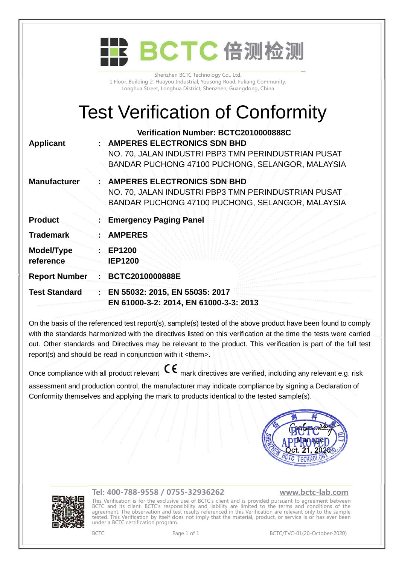|                         | BCTC 倍测检测                                                                                                                                                                             |
|-------------------------|---------------------------------------------------------------------------------------------------------------------------------------------------------------------------------------|
|                         | Shenzhen BCTC Technology Co., Ltd.<br>1 Floor, Building 2, Huayou Industrial, Yousong Road, Fukang Community,<br>Longhua Street, Longhua District, Shenzhen, Guangdong, China         |
|                         | <b>Test Verification of Conformity</b>                                                                                                                                                |
| <b>Applicant</b>        | Verification Number: BCTC2010000888C<br><b>AMPERES ELECTRONICS SDN BHD</b><br>NO. 70, JALAN INDUSTRI PBP3 TMN PERINDUSTRIAN PUSAT<br>BANDAR PUCHONG 47100 PUCHONG, SELANGOR, MALAYSIA |
| <b>Manufacturer</b>     | <b>AMPERES ELECTRONICS SDN BHD</b><br>NO. 70, JALAN INDUSTRI PBP3 TMN PERINDUSTRIAN PUSAT<br>BANDAR PUCHONG 47100 PUCHONG, SELANGOR, MALAYSIA                                         |
| <b>Product</b>          | <b>Emergency Paging Panel</b>                                                                                                                                                         |
| <b>Trademark</b>        | <b>AMPERES</b>                                                                                                                                                                        |
| Model/Type<br>reference | EP1200<br><b>IEP1200</b>                                                                                                                                                              |
| <b>Report Number</b>    | BCTC2010000888E                                                                                                                                                                       |
| <b>Test Standard</b>    | EN 55032: 2015, EN 55035: 2017<br>EN 61000-3-2: 2014, EN 61000-3-3: 2013                                                                                                              |
|                         |                                                                                                                                                                                       |

On the basis of the referenced test report(s), sample(s) tested of the above product have been found to comply with the standards harmonized with the directives listed on this verification at the time the tests were carried out. Other standards and Directives may be relevant to the product. This verification is part of the full test report(s) and should be read in conjunction with it <them>.

Once compliance with all product relevant  $\mathsf{CE}_{\mathsf{mark}}$  directives are verified, including any relevant e.g. risk assessment and production control, the manufacturer may indicate compliance by signing a Declaration of

Conformity themselves and applying the mark to products identical to the tested sample(s).





## **Tel: 400-788-9558 / 0755-32936262 [www.bctc-lab.com](http://www.bctc-lab.com)**

This Verification is for the exclusive use of BCTC's client and is provided pursuant to agreement between BCTC and its client. BCTC's responsibility and liability are limited to the terms and conditions of the agreement. The observation and test results referenced in this Verification are relevant only to the sample tested. This Verification by itself does not imply that the material, product, or service is or has ever been under a BCTC certification program.